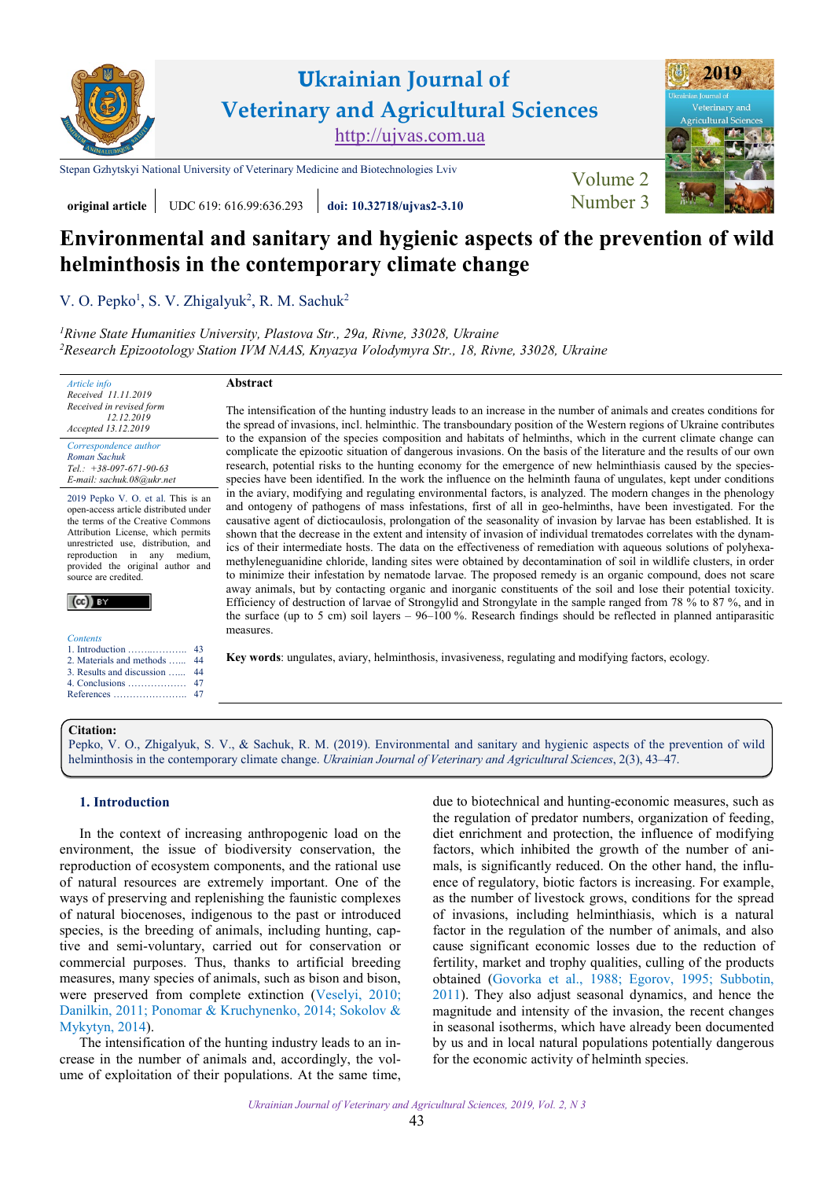

# **Ukrainian Journal of Veterinary and Agricultural Sciences** [http://ujvas.com.ua](http://ujvas.com.ua/)

[Stepan Gzhytskyi National University of Veterinary Medicine and Biotechnologies Lviv](https://lvet.edu.ua) [Volume 2](https://ujvas.com.ua/index.php/journal/issue/view/5)



## **original article** UDC 619: 616.99:636.293 **[doi: 10.32718/ujvas2-3.10](https://doi.org/10.32718/ujvas2-3.10)** Number 3

# **Environmental and sanitary and hygienic aspects of the prevention of wild helminthosis in the contemporary climate change**

The intensification of the hunting industry leads to an increase in the number of animals and creates conditions for the spread of invasions, incl. helminthic. The transboundary position of the Western regions of Ukraine contributes to the expansion of the species composition and habitats of helminths, which in the current climate change can complicate the epizootic situation of dangerous invasions. On the basis of the literature and the results of our own research, potential risks to the hunting economy for the emergence of new helminthiasis caused by the speciesspecies have been identified. In the work the influence on the helminth fauna of ungulates, kept under conditions in the aviary, modifying and regulating environmental factors, is analyzed. The modern changes in the phenology and ontogeny of pathogens of mass infestations, first of all in geo-helminths, have been investigated. For the causative agent of dictiocaulosis, prolongation of the seasonality of invasion by larvae has been established. It is shown that the decrease in the extent and intensity of invasion of individual trematodes correlates with the dynamics of their intermediate hosts. The data on the effectiveness of remediation with aqueous solutions of polyhexamethyleneguanidine chloride, landing sites were obtained by decontamination of soil in wildlife clusters, in order to minimize their infestation by nematode larvae. The proposed remedy is an organic compound, does not scare away animals, but by contacting organic and inorganic constituents of the soil and lose their potential toxicity. Efficiency of destruction of larvae of Strongylid and Strongylate in the sample ranged from 78 % to 87 %, and in the surface (up to 5 cm) soil layers – 96–100 %. Research findings should be reflected in planned antiparasitic

V. O. Pepko<sup>1</sup>, S. V. Zhigalyuk<sup>2</sup>, R. M. Sachuk<sup>2</sup>

*1 [Rivne State Humanities University, Plastova](http://www.rshu.edu.ua) Str., 29a, Rivne, 33028, Ukraine 2 [Research Epizootology Station IVM NAAS, Knyazya Volodymyra](http://ivm.kiev.ua/structure-2/depart/rivnenska-doslidnicka-stanciya-epizotologi%D1%97.html) Str., 18, Rivne, 33028, Ukraine*

*Article info Received 11.11.2019 Received in revised form 12.12.2019*

### **Abstract**

measures.

*Accepted 13.12.2019 Correspondence author [Roman Sachuk](https://orcid.org/0000-0003-4532-4220) Tel.: +38-097-671-90-63 E-mail: sachuk.08@ukr.net*

2019 Pepko V. O. et al. This is an open-access article distributed under the terms of the Creative Commons Attribution License, which permits unrestricted use, distribution, and reproduction in any medium, provided the original author and source are credited.



| Contents         |
|------------------|
| 1. Tachina decad |

| 2. Materials and methods  44  |  |
|-------------------------------|--|
| 3. Results and discussion  44 |  |
|                               |  |
|                               |  |

# **Citation:**

Pepko, V. O., Zhigalyuk, S. V., & Sachuk, R. [M. \(2019\). Environmental and sanitary and hygienic aspects of the prevention of wild](https://doi.org/10.32718/ujvas2-3.10) helminthosis in the contemporary climate change. *Ukrainian Journal of Veterinary and Agricultural Sciences*, 2(3), 43–47.

**Key words**: ungulates, aviary, helminthosis, invasiveness, regulating and modifying factors, ecology.

### **1. Introduction**

In the context of increasing anthropogenic load on the environment, the issue of biodiversity conservation, the reproduction of ecosystem components, and the rational use of natural resources are extremely important. One of the ways of preserving and replenishing the faunistic complexes of natural biocenoses, indigenous to the past or introduced species, is the breeding of animals, including hunting, captive and semi-voluntary, carried out for conservation or commercial purposes. Thus, thanks to artificial breeding measures, many species of animals, such as bison and bison, were preserved from complete extinction [\(Veselyi, 2010;](#page-4-0) [Danilkin, 2011; Ponomar & Kruchynenko,](#page-4-0) 2014; [Sokolov](#page-4-0) & [Mykytyn,](#page-4-0) 2014).

The intensification of the hunting industry leads to an increase in the number of animals and, accordingly, the volume of exploitation of their populations. At the same time,

due to biotechnical and hunting-economic measures, such as the regulation of predator numbers, organization of feeding, diet enrichment and protection, the influence of modifying factors, which inhibited the growth of the number of animals, is significantly reduced. On the other hand, the influence of regulatory, biotic factors is increasing. For example, as the number of livestock grows, conditions for the spread of invasions, including helminthiasis, which is a natural factor in the regulation of the number of animals, and also cause significant economic losses due to the reduction of fertility, market and trophy qualities, culling of the products obtained ([Govorka et al., 1988](#page-4-0); [Egorov, 1995](#page-4-0); [Subbotin,](#page-4-0) [2011](#page-4-0)). They also adjust seasonal dynamics, and hence the magnitude and intensity of the invasion, the recent changes in seasonal isotherms, which have already been documented by us and in local natural populations potentially dangerous for the economic activity of helminth species.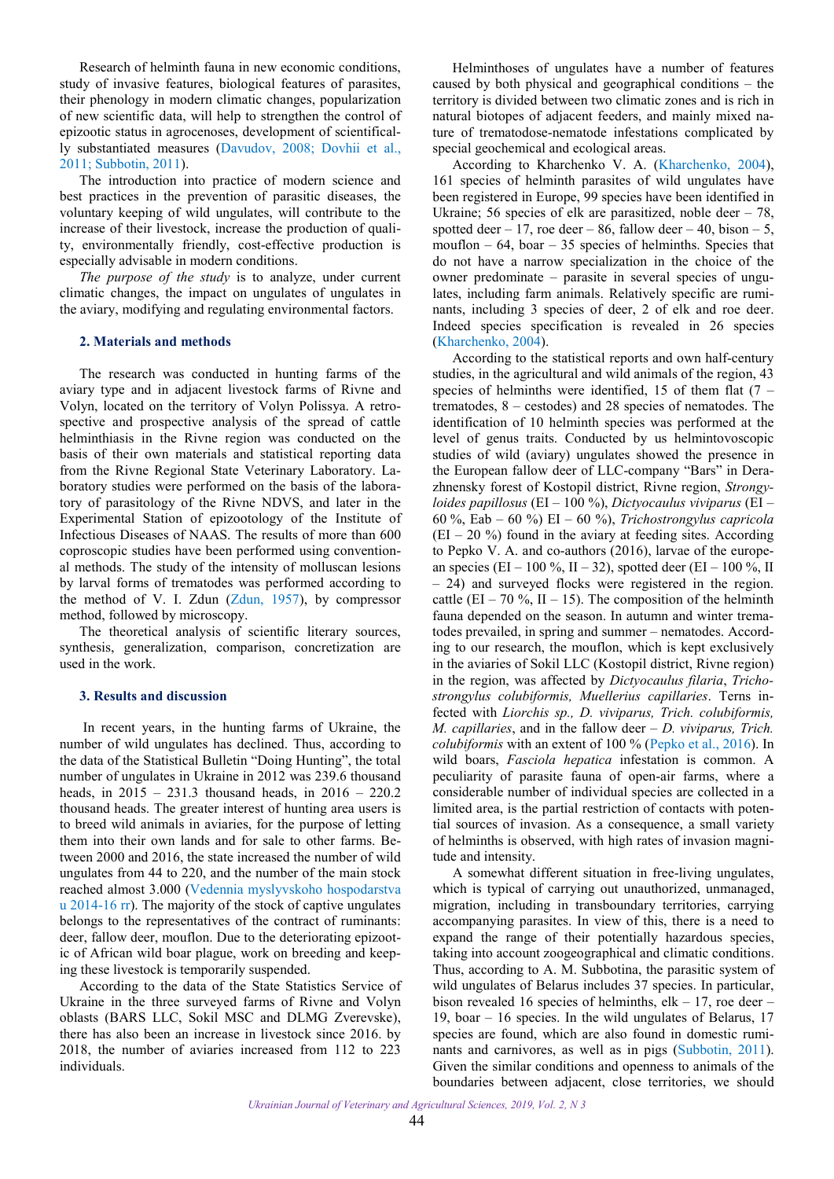<span id="page-1-0"></span>Research of helminth fauna in new economic conditions, study of invasive features, biological features of parasites, their phenology in modern climatic changes, popularization of new scientific data, will help to strengthen the control of epizootic status in agrocenoses, development of scientifically substantiated measures ([Davudov, 2008;](#page-4-0) [Dovhii](#page-4-0) et al., [2011; Subbotin,](#page-4-0) 2011).

The introduction into practice of modern science and best practices in the prevention of parasitic diseases, the voluntary keeping of wild ungulates, will contribute to the increase of their livestock, increase the production of quality, environmentally friendly, cost-effective production is especially advisable in modern conditions.

*The purpose of the study* is to analyze, under current climatic changes, the impact on ungulates of ungulates in the aviary, modifying and regulating environmental factors.

#### **2. Materials and methods**

The research was conducted in hunting farms of the aviary type and in adjacent livestock farms of Rivne and Volyn, located on the territory of Volyn Polissya. A retrospective and prospective analysis of the spread of cattle helminthiasis in the Rivne region was conducted on the basis of their own materials and statistical reporting data from the Rivne Regional State Veterinary Laboratory. Laboratory studies were performed on the basis of the laboratory of parasitology of the Rivne NDVS, and later in the Experimental Station of epizootology of the Institute of Infectious Diseases of NAAS. The results of more than 600 coproscopic studies have been performed using conventional methods. The study of the intensity of molluscan lesions by larval forms of trematodes was performed according to the method of V. I. Zdun ([Zdun, 1957\)](#page-4-0), by compressor method, followed by microscopy.

The theoretical analysis of scientific literary sources, synthesis, generalization, comparison, concretization are used in the work.

### **3. Results and discussion**

In recent years, in the hunting farms of Ukraine, the number of wild ungulates has declined. Thus, according to the data of the Statistical Bulletin "Doing Hunting", the total number of ungulates in Ukraine in 2012 was 239.6 thousand heads, in 2015 – 231.3 thousand heads, in 2016 – 220.2 thousand heads. The greater interest of hunting area users is to breed wild animals in aviaries, for the purpose of letting them into their own lands and for sale to other farms. Between 2000 and 2016, the state increased the number of wild ungulates from 44 to 220, and the number of the main stock reached almost 3.000 ([Vedennia myslyvskoho hospodarstva](#page-4-0) [u 2014-16 rr\)](#page-4-0). The majority of the stock of captive ungulates belongs to the representatives of the contract of ruminants: deer, fallow deer, mouflon. Due to the deteriorating epizootic of African wild boar plague, work on breeding and keeping these livestock is temporarily suspended.

According to the data of the State Statistics Service of Ukraine in the three surveyed farms of Rivne and Volyn oblasts (BARS LLC, Sokil MSC and DLMG Zverevske), there has also been an increase in livestock since 2016. by 2018, the number of aviaries increased from 112 to 223 individuals.

Helminthoses of ungulates have a number of features caused by both physical and geographical conditions – the territory is divided between two climatic zones and is rich in natural biotopes of adjacent feeders, and mainly mixed nature of trematodose-nematode infestations complicated by special geochemical and ecological areas.

According to Kharchenko V. A. [\(Kharchenko, 2004\)](#page-4-0), 161 species of helminth parasites of wild ungulates have been registered in Europe, 99 species have been identified in Ukraine; 56 species of elk are parasitized, noble deer  $-78$ , spotted deer – 17, roe deer – 86, fallow deer – 40, bison – 5, mouflon  $-64$ , boar  $-35$  species of helminths. Species that do not have a narrow specialization in the choice of the owner predominate – parasite in several species of ungulates, including farm animals. Relatively specific are ruminants, including 3 species of deer, 2 of elk and roe deer. Indeed species specification is revealed in 26 species [\(Kharchenko, 2004](#page-4-0)).

According to the statistical reports and own half-century studies, in the agricultural and wild animals of the region, 43 species of helminths were identified, 15 of them flat (7 – trematodes, 8 – cestodes) and 28 species of nematodes. The identification of 10 helminth species was performed at the level of genus traits. Conducted by us helmintovoscopic studies of wild (aviary) ungulates showed the presence in the European fallow deer of LLC-company "Bars" in Derazhnensky forest of Kostopil district, Rivne region, *Strongyloides papillosus* (EI – 100 %), *Dictyocaulus viviparus* (EI – 60 %, Eab – 60 %) EI – 60 %), *Trichostrongylus capricola*  $(EI - 20\%)$  found in the aviary at feeding sites. According to Pepkо V. A. and co-authors (2016), larvae of the еuropean species (EI – 100 %, II – 32), spotted deer (EI – 100 %, II – 24) and surveyed flocks were registered in the region. cattle (EI – 70 %, II – 15). The composition of the helminth fauna depended on the season. In autumn and winter trematodes prevailed, in spring and summer – nematodes. According to our research, the mouflon, which is kept exclusively in the aviaries of Sokil LLC (Kostopil district, Rivne region) in the region, was affected by *Dictyocaulus filaria*, *Trichostrongylus colubiformis, Muellerius capillaries*. Terns infected with *Liorchis sp., D. viviparus, Trich. colubiformis, M. сapillaries*, and in the fallow deer – *D. viviparus, Trich. colubiformis* with an extent of 100 % (Pepko [et al., 2016](#page-4-0)). In wild boars, *Fasciola hepatica* infestation is common. A peculiarity of parasite fauna of open-air farms, where a considerable number of individual species are collected in a limited area, is the partial restriction of contacts with potential sources of invasion. As a consequence, a small variety of helminths is observed, with high rates of invasion magnitude and intensity.

A somewhat different situation in free-living ungulates, which is typical of carrying out unauthorized, unmanaged, migration, including in transboundary territories, carrying accompanying parasites. In view of this, there is a need to expand the range of their potentially hazardous species, taking into account zoogeographical and climatic conditions. Thus, according to A. M. Subbotina, the parasitic system of wild ungulates of Belarus includes 37 species. In particular, bison revealed 16 species of helminths, elk  $-17$ , roe deer  $-$ 19, boar – 16 species. In the wild ungulates of Belarus, 17 species are found, which are also found in domestic ruminants and carnivores, as well as in pigs [\(Subbotin,](#page-4-0) 2011). Given the similar conditions and openness to animals of the boundaries between adjacent, close territories, we should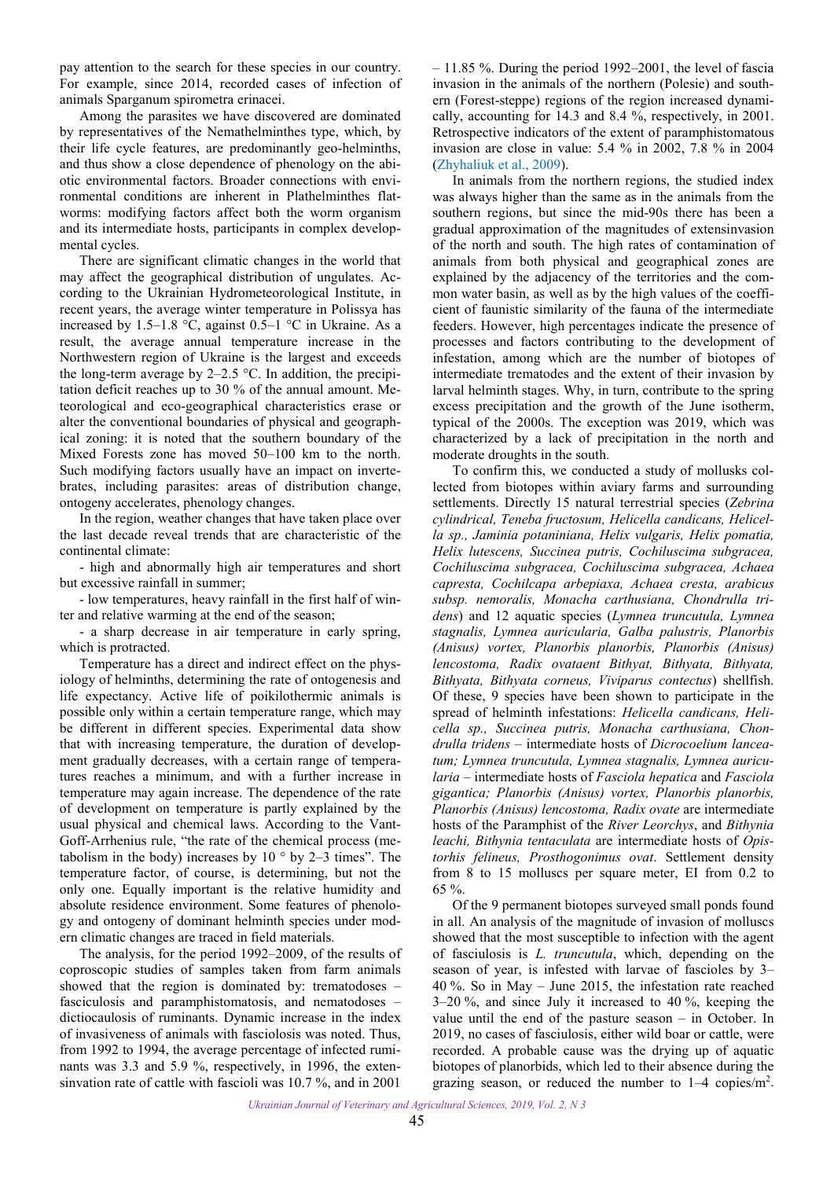pay attention to the search for these species in our country. For example, since 2014, recorded cases of infection of animals Sparganum spirometra erinacei.

Among the parasites we have discovered are dominated by representatives of the Nemathelminthes type, which, by their life cycle features, are predominantly geo-helminths, and thus show a close dependence of phenology on the abiotic environmental factors. Broader connections with environmental conditions are inherent in Plathelminthes flatworms: modifying factors affect both the worm organism and its intermediate hosts, participants in complex developmental cycles.

There are significant climatic changes in the world that may affect the geographical distribution of ungulates. According to the Ukrainian Hydrometeorological Institute, in recent years, the average winter temperature in Polissya has increased by 1.5–1.8 °C, against 0.5–1 °C in Ukraine. As a result, the average annual temperature increase in the Northwestern region of Ukraine is the largest and exceeds the long-term average by 2–2.5  $\degree$ C. In addition, the precipitation deficit reaches up to 30 % of the annual amount. Meteorological and eco-geographical characteristics erase or alter the conventional boundaries of physical and geographical zoning: it is noted that the southern boundary of the Mixed Forests zone has moved 50–100 km to the north. Such modifying factors usually have an impact on invertebrates, including parasites: areas of distribution change, ontogeny accelerates, phenology changes.

In the region, weather changes that have taken place over the last decade reveal trends that are characteristic of the continental climate:

- high and abnormally high air temperatures and short but excessive rainfall in summer;

- low temperatures, heavy rainfall in the first half of winter and relative warming at the end of the season;

- a sharp decrease in air temperature in early spring, which is protracted.

Temperature has a direct and indirect effect on the physiology of helminths, determining the rate of ontogenesis and life expectancy. Active life of poikilothermic animals is possible only within a certain temperature range, which may be different in different species. Experimental data show that with increasing temperature, the duration of development gradually decreases, with a certain range of temperatures reaches a minimum, and with a further increase in temperature may again increase. The dependence of the rate of development on temperature is partly explained by the usual physical and chemical laws. According to the Vant-Goff-Arrhenius rule, "the rate of the chemical process (metabolism in the body) increases by  $10^{\circ}$  by  $2-3$  times". The temperature factor, of course, is determining, but not the only one. Equally important is the relative humidity and absolute residence environment. Some features of phenology and ontogeny of dominant helminth species under modern climatic changes are traced in field materials.

The analysis, for the period 1992–2009, of the results of coproscopic studies of samples taken from farm animals showed that the region is dominated by: trematodoses – fasciculosis and paramphistomatosis, and nematodoses – dictiocaulosis of ruminants. Dynamic increase in the index of invasiveness of animals with fasciolosis was noted. Thus, from 1992 to 1994, the average percentage of infected ruminants was 3.3 and 5.9 %, respectively, in 1996, the extensinvation rate of cattle with fascioli was 10.7 %, and in 2001

– 11.85 %. During the period 1992–2001, the level of fascia invasion in the animals of the northern (Polesie) and southern (Forest-steppe) regions of the region increased dynamically, accounting for 14.3 and 8.4 %, respectively, in 2001. Retrospective indicators of the extent of paramphistomatous invasion are close in value: 5.4 % in 2002, 7.8 % in 2004 (Zhyhaliuk [et al., 2009](#page-4-0)).

In animals from the northern regions, the studied index was always higher than the same as in the animals from the southern regions, but since the mid-90s there has been a gradual approximation of the magnitudes of extensinvasion of the north and south. The high rates of contamination of animals from both physical and geographical zones are explained by the adjacency of the territories and the common water basin, as well as by the high values of the coefficient of faunistic similarity of the fauna of the intermediate feeders. However, high percentages indicate the presence of processes and factors contributing to the development of infestation, among which are the number of biotopes of intermediate trematodes and the extent of their invasion by larval helminth stages. Why, in turn, contribute to the spring excess precipitation and the growth of the June isotherm, typical of the 2000s. The exception was 2019, which was characterized by a lack of precipitation in the north and moderate droughts in the south.

To confirm this, we conducted a study of mollusks collected from biotopes within aviary farms and surrounding settlements. Directly 15 natural terrestrial species (*Zebrina cylindrical, Teneba fructosum, Helicella candicans, Helicella sp., Jaminia potaniniana, Helix vulgaris, Helix pomatia, Helix lutescens, Succinea putris, Cochiluscima subgracea, Cochiluscima subgracea, Cochiluscima subgracea, Achaea capresta, Cochilcapa arbepiaxa, Achaea cresta, arabicus subsp. nemoralis, Monacha carthusiana, Chondrulla tridens*) and 12 aquatic species (*Lymnea truncutula, Lymnea stagnalis, Lymnea auricularia, Galba palustris, Planorbis (Anisus) vortex, Planorbis planorbis, Planorbis (Anisus) lencostoma, Radix ovataent Bithyat, Bithyata, Bithyata, Bithyata, Bithyata corneus, Viviparus contectus*) shellfish. Of these, 9 species have been shown to participate in the spread of helminth infestations: *Helicella candicans, Helicella sp., Succinea putris, Monacha carthusiana, Chondrulla tridens* – intermediate hosts of *Dicrocoelium lanceatum; Lymnea truncutula, Lymnea stagnalis, Lymnea auricularia* – intermediate hosts of *Fasciola hepatica* and *Fasciola gigantica; Planorbis (Anisus) vortex, Planorbis planorbis, Planorbis (Anisus) lencostoma, Radix ovate* are intermediate hosts of the Paramphist of the *River Leorchys*, and *Bithynia leachi, Bithynia tentaculata* are intermediate hosts of *Opistorhis felineus, Prosthogonimus ovat*. Settlement density from 8 to 15 molluscs per square meter, EI from 0.2 to 65 %.

Of the 9 permanent biotopes surveyed small ponds found in all. An analysis of the magnitude of invasion of molluscs showed that the most susceptible to infection with the agent of fasciulosis is *L. truncutula*, which, depending on the season of year, is infested with larvae of fascioles by 3– 40 %. So in May – June 2015, the infestation rate reached 3–20 %, and since July it increased to 40 %, keeping the value until the end of the pasture season – in October. In 2019, no cases of fasciulosis, either wild boar or cattle, were recorded. A probable cause was the drying up of aquatic biotopes of planorbids, which led to their absence during the grazing season, or reduced the number to  $1-4$  copies/m<sup>2</sup>.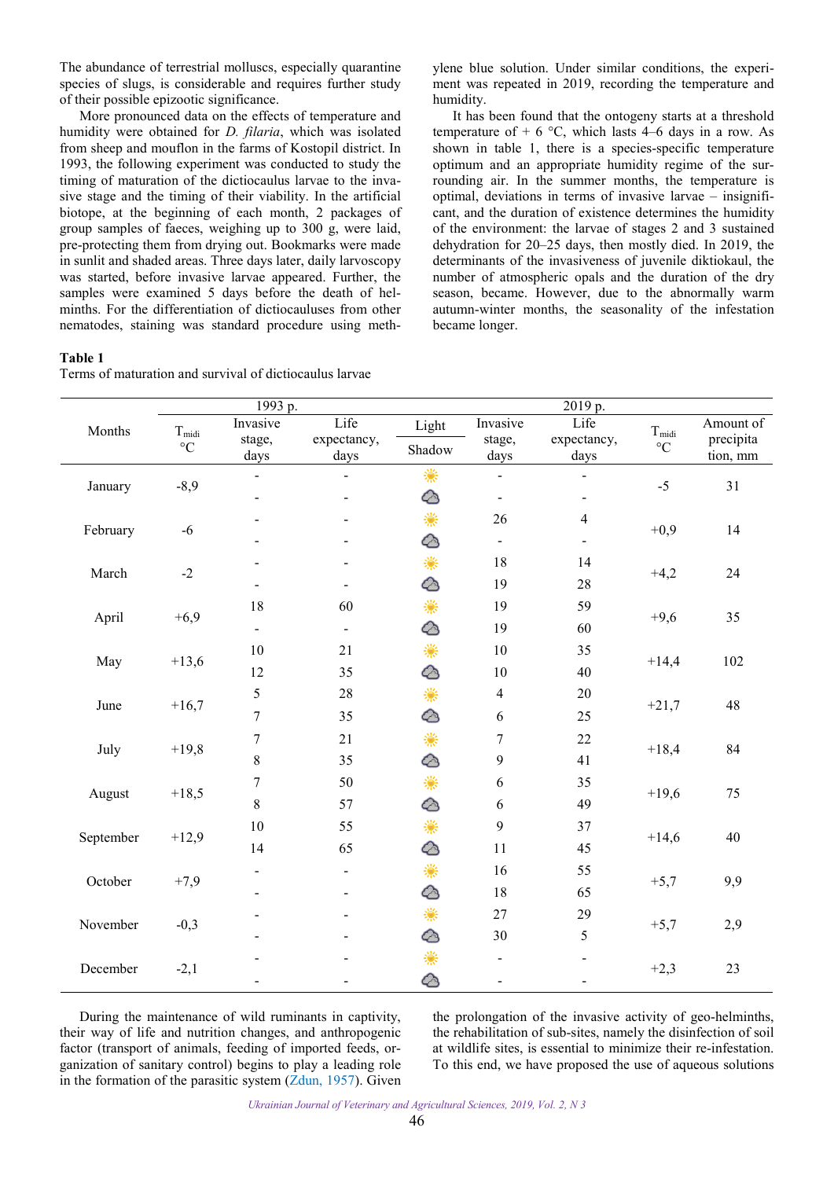The abundance of terrestrial molluscs, especially quarantine species of slugs, is considerable and requires further study of their possible epizootic significance.

More pronounced data on the effects of temperature and humidity were obtained for *D. filaria*, which was isolated from sheep and mouflon in the farms of Kostopil district. In 1993, the following experiment was conducted to study the timing of maturation of the dictiocaulus larvae to the invasive stage and the timing of their viability. In the artificial biotope, at the beginning of each month, 2 packages of group samples of faeces, weighing up to 300 g, were laid, pre-protecting them from drying out. Bookmarks were made in sunlit and shaded areas. Three days later, daily larvoscopy was started, before invasive larvae appeared. Further, the samples were examined 5 days before the death of helminths. For the differentiation of dictiocauluses from other nematodes, staining was standard procedure using meth-

#### **Table 1**

|  |  | Terms of maturation and survival of dictiocaulus larvae |
|--|--|---------------------------------------------------------|
|  |  |                                                         |

ylene blue solution. Under similar conditions, the experiment was repeated in 2019, recording the temperature and humidity.

It has been found that the ontogeny starts at a threshold temperature of  $+ 6$  °C, which lasts 4–6 days in a row. As shown in table 1, there is a species-specific temperature optimum and an appropriate humidity regime of the surrounding air. In the summer months, the temperature is optimal, deviations in terms of invasive larvae – insignificant, and the duration of existence determines the humidity of the environment: the larvae of stages 2 and 3 sustained dehydration for 20–25 days, then mostly died. In 2019, the determinants of the invasiveness of juvenile diktiokaul, the number of atmospheric opals and the duration of the dry season, became. However, due to the abnormally warm autumn-winter months, the seasonality of the infestation became longer.

|           | 1993 p.                              |                              |                          |                 | 2019 p.          |                              |                                    |                       |
|-----------|--------------------------------------|------------------------------|--------------------------|-----------------|------------------|------------------------------|------------------------------------|-----------------------|
| Months    | $T_{\rm{midi}}$<br>$^{\circ}{\rm C}$ | Invasive                     | Life                     | Light<br>Shadow | Invasive         | Life                         | $T_{\rm{midi}}$<br>$\rm ^{\circ}C$ | Amount of             |
|           |                                      | stage,<br>days               | expectancy,<br>days      |                 | stage,<br>days   | expectancy,<br>days          |                                    | precipita<br>tion, mm |
|           |                                      |                              |                          | 瀿               |                  | ÷,                           |                                    |                       |
| January   | $-8,9$                               | $\overline{a}$               |                          | ⊘               | $\blacksquare$   | $\overline{a}$               | $-5$                               | 31                    |
|           |                                      |                              |                          | ☀               | 26               | $\overline{4}$               |                                    |                       |
| February  | $-6$                                 |                              |                          |                 | $\blacksquare$   | $\qquad \qquad \blacksquare$ | $+0,9$                             | 14                    |
| March     | $-2$                                 |                              |                          | 繠               | 18               | 14                           | $+4,2$                             | 24                    |
|           |                                      |                              |                          |                 |                  |                              |                                    |                       |
|           |                                      |                              |                          |                 | 19               | 28                           |                                    |                       |
| April     | $+6,9$                               | 18                           | 60                       | ☀               | 19               | 59                           | $+9,6$                             | 35                    |
|           |                                      | $\overline{\phantom{a}}$     | $\overline{\phantom{a}}$ | ᢙ               | 19               | 60                           |                                    |                       |
| May       | $+13,6$                              | $10\,$                       | 21                       | 繠               | $10\,$           | 35                           | $+14,4$                            | 102                   |
|           |                                      | 12                           | 35                       | ᢙ               | $10\,$           | 40                           |                                    |                       |
|           | $+16,7$                              | 5                            | $28\,$                   | 瀿               | $\overline{4}$   | $20\,$                       | $+21,7$                            | 48                    |
| June      |                                      | $\tau$                       | 35                       | ᢙ               | $\sqrt{6}$       | 25                           |                                    |                       |
|           | $+19,8$                              | $\boldsymbol{7}$             | 21                       | 繠               | $\boldsymbol{7}$ | 22                           | $+18,4$                            | 84                    |
| July      |                                      | $\,$ $\,$                    | 35                       | ᢙ               | 9                | 41                           |                                    |                       |
| August    | $+18,5$                              | $\boldsymbol{7}$             | 50                       | 繠               | 6                | 35                           | $+19,6$                            | 75                    |
|           |                                      | $\,$ 8 $\,$                  | 57                       | ᢙ               | 6                | 49                           |                                    |                       |
| September | $+12,9$                              | 10                           | 55                       | 瀿               | 9                | 37                           | $+14,6$                            | 40                    |
|           |                                      | 14                           | 65                       |                 | 11               | 45                           |                                    |                       |
| October   | $+7,9$                               | $\qquad \qquad \blacksquare$ | $\overline{\phantom{a}}$ | 繠               | 16               | 55                           | $+5,7$                             | 9,9                   |
|           |                                      |                              |                          | ⊘               | 18               | 65                           |                                    |                       |
| November  | $-0,3$                               |                              |                          | 繠               | $27\,$           | 29                           | $+5,7$                             | 2,9                   |
|           |                                      |                              |                          | ᢙ               | 30               | 5                            |                                    |                       |
| December  | $-2,1$                               |                              |                          | 繠               |                  |                              |                                    | 23                    |
|           |                                      |                              |                          |                 |                  |                              | $+2,3$                             |                       |

During the maintenance of wild ruminants in captivity, their way of life and nutrition changes, and anthropogenic factor (transport of animals, feeding of imported feeds, organization of sanitary control) begins to play a leading role in the formation of the parasitic system ([Zdun, 1957](#page-4-0)). Given

the prolongation of the invasive activity of geo-helminths, the rehabilitation of sub-sites, namely the disinfection of soil at wildlife sites, is essential to minimize their re-infestation. To this end, we have proposed the use of aqueous solutions